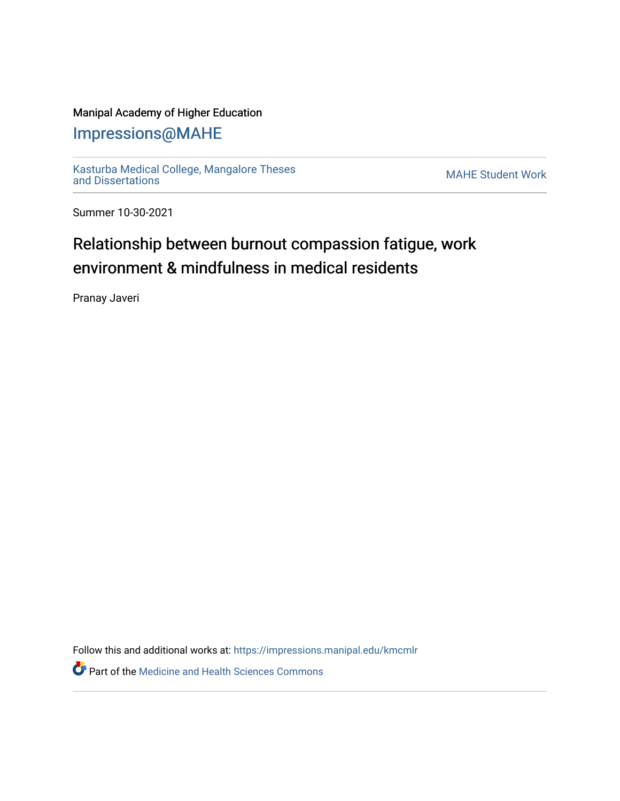### Manipal Academy of Higher Education

## [Impressions@MAHE](https://impressions.manipal.edu/)

[Kasturba Medical College, Mangalore Theses](https://impressions.manipal.edu/kmcmlr) Kasturba Medical College, Mangalore Theses<br>[and Dissertations](https://impressions.manipal.edu/kmcmlr) MAHE Student Work

Summer 10-30-2021

# Relationship between burnout compassion fatigue, work environment & mindfulness in medical residents

Pranay Javeri

Follow this and additional works at: [https://impressions.manipal.edu/kmcmlr](https://impressions.manipal.edu/kmcmlr?utm_source=impressions.manipal.edu%2Fkmcmlr%2F260&utm_medium=PDF&utm_campaign=PDFCoverPages) 

**Part of the Medicine and Health Sciences Commons**